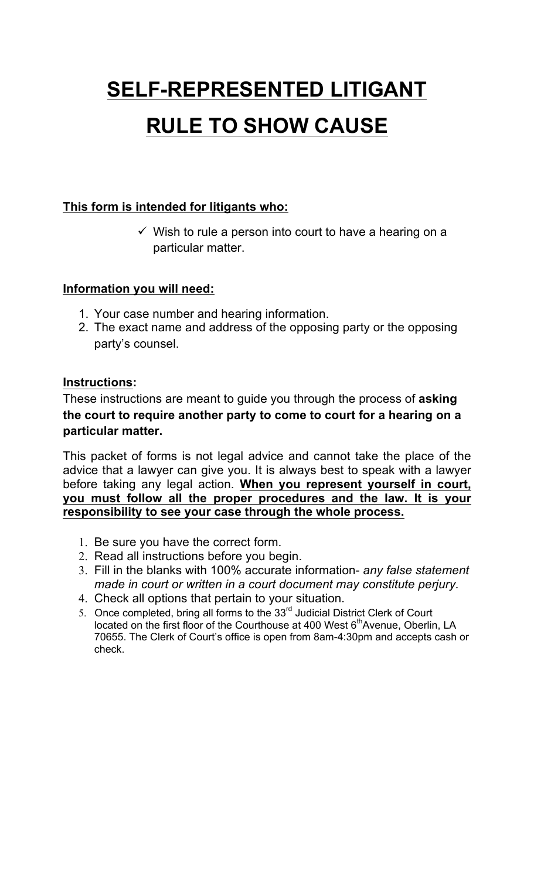## **SELF-REPRESENTED LITIGANT RULE TO SHOW CAUSE**

## **This form is intended for litigants who:**

 $\checkmark$  Wish to rule a person into court to have a hearing on a particular matter.

## **Information you will need:**

- 1. Your case number and hearing information.
- 2. The exact name and address of the opposing party or the opposing party's counsel.

## **Instructions:**

These instructions are meant to guide you through the process of **asking the court to require another party to come to court for a hearing on a particular matter.** 

This packet of forms is not legal advice and cannot take the place of the advice that a lawyer can give you. It is always best to speak with a lawyer before taking any legal action. **When you represent yourself in court, you must follow all the proper procedures and the law. It is your responsibility to see your case through the whole process.** 

- 1. Be sure you have the correct form.
- 2. Read all instructions before you begin.
- 3. Fill in the blanks with 100% accurate information- *any false statement made in court or written in a court document may constitute perjury.*
- 4. Check all options that pertain to your situation.
- 5. Once completed, bring all forms to the 33<sup>rd</sup> Judicial District Clerk of Court located on the first floor of the Courthouse at 400 West 6<sup>th</sup>Avenue, Oberlin, LA 70655. The Clerk of Court's office is open from 8am-4:30pm and accepts cash or check.